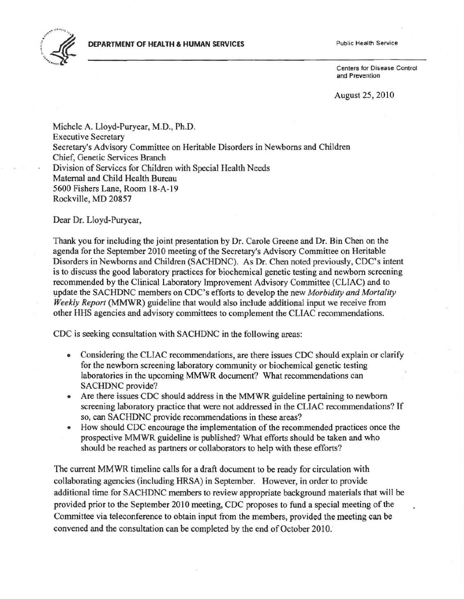## **DEPARTMENT OF HEALTH & HUMAN** SERVICES Public Health Service



Cenlers for Disease Control and Prevention

## August 25, 2010

Michele A. Lloyd-Puryear, M.D., Ph.D. Executive Secretary Secretary's Advisory Committee on Heritable Disorders in Newborns and Children Chief, Genetic Services Branch Division of Services for Children with Special Health Needs Maternal and Child Health Bureau 5600 Fishers Lane, Room 18-A-19 Rockville, MD 20857

Dear Dr. Lloyd-Puryear,

Thank you for including the joint presentation by Dr. Carole Greene and Dr. Bin Chen on the agenda for the September 2010 meeting of the Secretary's Advisory Committee on Heritable Disorders in Newborns and Children (SACHDNC). As Dr. Chen noted previously, CDC's intent is to discuss the good laboratory practices for biochemical genetic testing and newborn screening recommended by the Clinical Laboratory Improvement Advisory Committee (CLIAC) and to update the SACHDNC members on CDC's efforts to develop the new *Morbidity and Mortality Weekly Report* (MMWR) guideline that would also include additional input we receive from other HHS agencies and advisory committees to complement the CLIAC reconunendations.

CDC is seeking consultation with SACHDNC in the following areas:

- Considering the CLIAC recommendations, are there issues CDC should explain or clarify for the newborn screening laboratory community or biochemical genetic testing laboratories in the upcoming MMWR document? What recommendations can SACHDNC provide?
- Are there issues CDC should address in the MMWR guideline pertaining to newborn screening laboratory practice that were not addressed in the CLIAC recommendations? If so, can SACHDNC provide recommendations in these areas?
- How should CDC encourage the implementation of the recommended practices once the prospective MMWR guideline is published? What efforts should be taken and who should be reached as partners or collaborators to help with these efforts?

The current MMWR timeline calls for a draft document to be ready for circulation with collaborating agencies (including HRSA) in September. However, in order to provide additional time for SACHDNC members to review appropriate background materials that will be provided prior to the September 2010 meeting, CDC proposes to fund a special meeting of the Committee via teleconference to obtain input from the members, provided the meeting can be convened and the consultation can be completed by the end of October 2010.